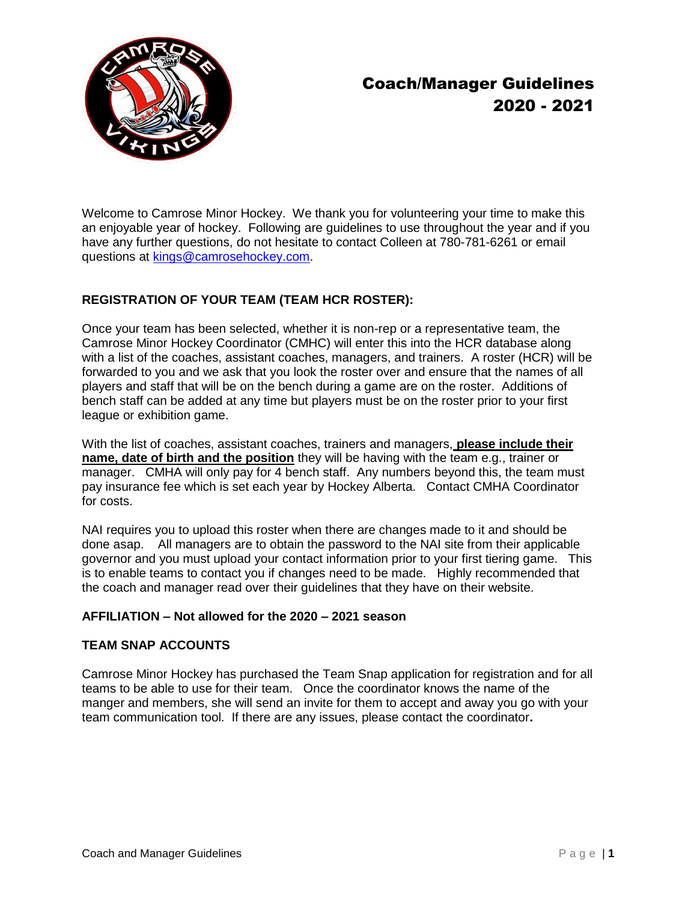

# Coach/Manager Guidelines 2020 - 2021

Welcome to Camrose Minor Hockey. We thank you for volunteering your time to make this an enjoyable year of hockey. Following are guidelines to use throughout the year and if you have any further questions, do not hesitate to contact Colleen at 780-781-6261 or email questions at [kings@camrosehockey.com.](mailto:kings@camrosehockey.com)

# **REGISTRATION OF YOUR TEAM (TEAM HCR ROSTER):**

Once your team has been selected, whether it is non-rep or a representative team, the Camrose Minor Hockey Coordinator (CMHC) will enter this into the HCR database along with a list of the coaches, assistant coaches, managers, and trainers. A roster (HCR) will be forwarded to you and we ask that you look the roster over and ensure that the names of all players and staff that will be on the bench during a game are on the roster. Additions of bench staff can be added at any time but players must be on the roster prior to your first league or exhibition game.

With the list of coaches, assistant coaches, trainers and managers, **please include their name, date of birth and the position** they will be having with the team e.g., trainer or manager. CMHA will only pay for 4 bench staff. Any numbers beyond this, the team must pay insurance fee which is set each year by Hockey Alberta. Contact CMHA Coordinator for costs.

NAI requires you to upload this roster when there are changes made to it and should be done asap. All managers are to obtain the password to the NAI site from their applicable governor and you must upload your contact information prior to your first tiering game. This is to enable teams to contact you if changes need to be made. Highly recommended that the coach and manager read over their guidelines that they have on their website.

# **AFFILIATION – Not allowed for the 2020 – 2021 season**

# **TEAM SNAP ACCOUNTS**

Camrose Minor Hockey has purchased the Team Snap application for registration and for all teams to be able to use for their team. Once the coordinator knows the name of the manger and members, she will send an invite for them to accept and away you go with your team communication tool. If there are any issues, please contact the coordinator**.**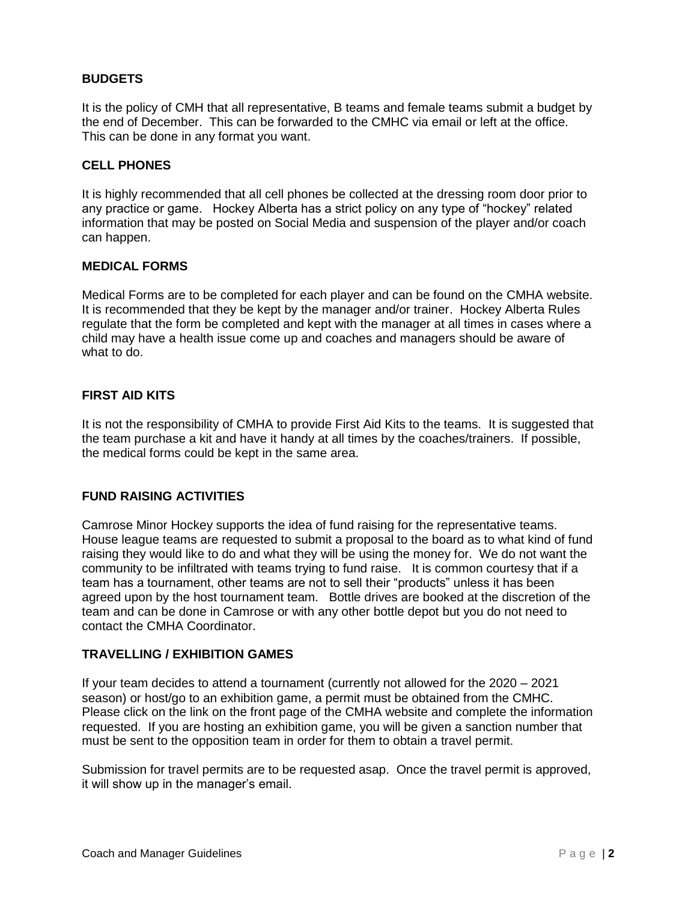# **BUDGETS**

It is the policy of CMH that all representative, B teams and female teams submit a budget by the end of December. This can be forwarded to the CMHC via email or left at the office. This can be done in any format you want.

# **CELL PHONES**

It is highly recommended that all cell phones be collected at the dressing room door prior to any practice or game. Hockey Alberta has a strict policy on any type of "hockey" related information that may be posted on Social Media and suspension of the player and/or coach can happen.

# **MEDICAL FORMS**

Medical Forms are to be completed for each player and can be found on the CMHA website. It is recommended that they be kept by the manager and/or trainer. Hockey Alberta Rules regulate that the form be completed and kept with the manager at all times in cases where a child may have a health issue come up and coaches and managers should be aware of what to do.

# **FIRST AID KITS**

It is not the responsibility of CMHA to provide First Aid Kits to the teams. It is suggested that the team purchase a kit and have it handy at all times by the coaches/trainers. If possible, the medical forms could be kept in the same area.

# **FUND RAISING ACTIVITIES**

Camrose Minor Hockey supports the idea of fund raising for the representative teams. House league teams are requested to submit a proposal to the board as to what kind of fund raising they would like to do and what they will be using the money for. We do not want the community to be infiltrated with teams trying to fund raise. It is common courtesy that if a team has a tournament, other teams are not to sell their "products" unless it has been agreed upon by the host tournament team. Bottle drives are booked at the discretion of the team and can be done in Camrose or with any other bottle depot but you do not need to contact the CMHA Coordinator.

# **TRAVELLING / EXHIBITION GAMES**

If your team decides to attend a tournament (currently not allowed for the 2020 – 2021 season) or host/go to an exhibition game, a permit must be obtained from the CMHC. Please click on the link on the front page of the CMHA website and complete the information requested. If you are hosting an exhibition game, you will be given a sanction number that must be sent to the opposition team in order for them to obtain a travel permit.

Submission for travel permits are to be requested asap. Once the travel permit is approved, it will show up in the manager's email.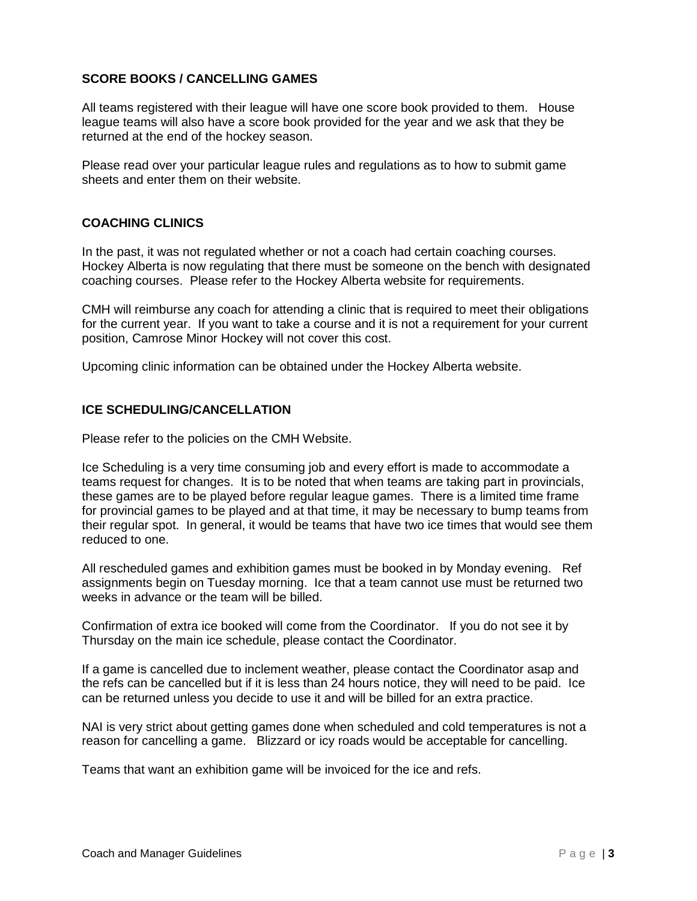# **SCORE BOOKS / CANCELLING GAMES**

All teams registered with their league will have one score book provided to them. House league teams will also have a score book provided for the year and we ask that they be returned at the end of the hockey season.

Please read over your particular league rules and regulations as to how to submit game sheets and enter them on their website.

# **COACHING CLINICS**

In the past, it was not regulated whether or not a coach had certain coaching courses. Hockey Alberta is now regulating that there must be someone on the bench with designated coaching courses. Please refer to the Hockey Alberta website for requirements.

CMH will reimburse any coach for attending a clinic that is required to meet their obligations for the current year. If you want to take a course and it is not a requirement for your current position, Camrose Minor Hockey will not cover this cost.

Upcoming clinic information can be obtained under the Hockey Alberta website.

# **ICE SCHEDULING/CANCELLATION**

Please refer to the policies on the CMH Website.

Ice Scheduling is a very time consuming job and every effort is made to accommodate a teams request for changes. It is to be noted that when teams are taking part in provincials, these games are to be played before regular league games. There is a limited time frame for provincial games to be played and at that time, it may be necessary to bump teams from their regular spot. In general, it would be teams that have two ice times that would see them reduced to one.

All rescheduled games and exhibition games must be booked in by Monday evening. Ref assignments begin on Tuesday morning. Ice that a team cannot use must be returned two weeks in advance or the team will be billed.

Confirmation of extra ice booked will come from the Coordinator. If you do not see it by Thursday on the main ice schedule, please contact the Coordinator.

If a game is cancelled due to inclement weather, please contact the Coordinator asap and the refs can be cancelled but if it is less than 24 hours notice, they will need to be paid. Ice can be returned unless you decide to use it and will be billed for an extra practice.

NAI is very strict about getting games done when scheduled and cold temperatures is not a reason for cancelling a game. Blizzard or icy roads would be acceptable for cancelling.

Teams that want an exhibition game will be invoiced for the ice and refs.